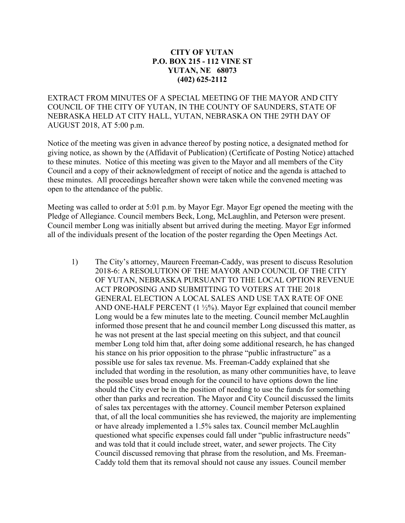## **CITY OF YUTAN P.O. BOX 215 - 112 VINE ST YUTAN, NE 68073 (402) 625-2112**

EXTRACT FROM MINUTES OF A SPECIAL MEETING OF THE MAYOR AND CITY COUNCIL OF THE CITY OF YUTAN, IN THE COUNTY OF SAUNDERS, STATE OF NEBRASKA HELD AT CITY HALL, YUTAN, NEBRASKA ON THE 29TH DAY OF AUGUST 2018, AT 5:00 p.m.

Notice of the meeting was given in advance thereof by posting notice, a designated method for giving notice, as shown by the (Affidavit of Publication) (Certificate of Posting Notice) attached to these minutes. Notice of this meeting was given to the Mayor and all members of the City Council and a copy of their acknowledgment of receipt of notice and the agenda is attached to these minutes. All proceedings hereafter shown were taken while the convened meeting was open to the attendance of the public.

Meeting was called to order at 5:01 p.m. by Mayor Egr. Mayor Egr opened the meeting with the Pledge of Allegiance. Council members Beck, Long, McLaughlin, and Peterson were present. Council member Long was initially absent but arrived during the meeting. Mayor Egr informed all of the individuals present of the location of the poster regarding the Open Meetings Act.

1) The City's attorney, Maureen Freeman-Caddy, was present to discuss Resolution 2018-6: A RESOLUTION OF THE MAYOR AND COUNCIL OF THE CITY OF YUTAN, NEBRASKA PURSUANT TO THE LOCAL OPTION REVENUE ACT PROPOSING AND SUBMITTING TO VOTERS AT THE 2018 GENERAL ELECTION A LOCAL SALES AND USE TAX RATE OF ONE AND ONE-HALF PERCENT (1 ½%). Mayor Egr explained that council member Long would be a few minutes late to the meeting. Council member McLaughlin informed those present that he and council member Long discussed this matter, as he was not present at the last special meeting on this subject, and that council member Long told him that, after doing some additional research, he has changed his stance on his prior opposition to the phrase "public infrastructure" as a possible use for sales tax revenue. Ms. Freeman-Caddy explained that she included that wording in the resolution, as many other communities have, to leave the possible uses broad enough for the council to have options down the line should the City ever be in the position of needing to use the funds for something other than parks and recreation. The Mayor and City Council discussed the limits of sales tax percentages with the attorney. Council member Peterson explained that, of all the local communities she has reviewed, the majority are implementing or have already implemented a 1.5% sales tax. Council member McLaughlin questioned what specific expenses could fall under "public infrastructure needs" and was told that it could include street, water, and sewer projects. The City Council discussed removing that phrase from the resolution, and Ms. Freeman-Caddy told them that its removal should not cause any issues. Council member